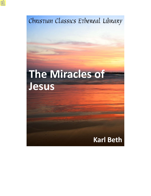Christian Classics Ethereal Library

# **The Miracles of** Jesus

# **Karl Beth**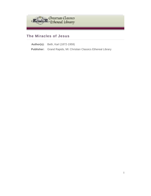

# **The Miracles of Jesus**

**Author(s):** Beth, Karl (1872-1959) **Publisher:** Grand Rapids, MI: Christian Classics Ethereal Library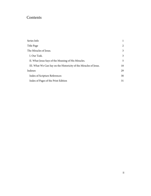# Contents

| Series Info                                                       |    |
|-------------------------------------------------------------------|----|
| Title Page                                                        | 2  |
| The Miracles of Jesus.                                            | 3  |
| I. Our Task.                                                      | 3  |
| II. What Jesus Says of the Meaning of His Miracles.               | 5  |
| III. What We Can Say on the Historicity of the Miracles of Jesus. | 18 |
| Indexes                                                           | 29 |
| Index of Scripture References                                     | 30 |
| Index of Pages of the Print Edition                               | 31 |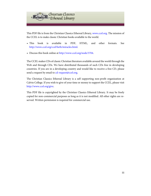

This PDF file is from the Christian Classics Ethereal Library, [www.ccel.org.](http://www.ccel.org) The mission of the CCEL is to make classic Christian books available to the world.

- This book is available in PDF, HTML, and other formats. See <http://www.ccel.org/ccel/beth/miracles.html>.
- Discuss this book online at [http://www.ccel.org/node/3704.](http://www.ccel.org/node/3704)

The CCEL makes CDs of classic Christian literature available around the world through the Web and through CDs. We have distributed thousands of such CDs free in developing countries. If you are in a developing country and would like to receive a free CD, please send a request by email to [cd-request@ccel.org.](mailto:cd-request@ccel.org)

The Christian Classics Ethereal Library is a self supporting non-profit organization at Calvin College. If you wish to give of your time or money to support the CCEL, please visit [http://www.ccel.org/give.](http://www.ccel.org/give)

This PDF file is copyrighted by the Christian Classics Ethereal Library. It may be freely copied for non-commercial purposes as long as it is not modified. All other rights are reserved. Written permission is required for commercial use.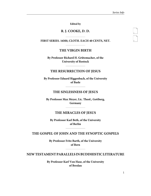<span id="page-4-2"></span><span id="page-4-1"></span>1

2

**Edited by**

# **R. J. COOKE, D. D.**

<span id="page-4-0"></span>**FIRST SERIES. 16M0, CLOTH. EACH 40 CENTS, NET.**

# **THE VIRGIN BIRTH**

**By Professor Richard H. Grützmacher, of the University of Rostock**

#### **THE RESURRECTION OF JESUS**

**By Professor Eduard Riggenbach, of the University of Basle**

# **THE SINLESSNESS OF JESUS**

**By Professor Max Meyer, Lic. Theol., Gottberg, Germany**

# **THE MIRACLES OF JESUS**

**By Professor Karl Beth, of the University of Berlin**

# **THE GOSPEL OF JOHN AND THE SYNOPTIC GOSPELS**

**By Professor Fritz Barth, of the University of Bern**

**NEW TESTAMENT PARALLELS IN BUDDHISTIC LITERATURE**

**By Professor Karl Von Hase, of the University of Breslau**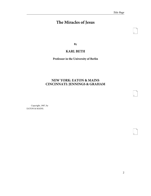<span id="page-5-1"></span>3

<span id="page-5-2"></span>4

<span id="page-5-3"></span>5

# <span id="page-5-0"></span>**The Miracles of Jesus**

**By**

# **KARL BETH**

**Professor in the University of Berlin**

# **NEW YORK: EATON & MAINS CINCINNATI: JENNINGS & GRAHAM**

Copyright, 1907, by EATON & MAINS.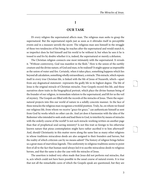#### **I**

# <span id="page-6-1"></span>**OUR TASK**

<span id="page-6-0"></span>IN every religion the supernatural affects man. The religious man seeks to grasp the supernatural. But the supernatural repels just as soon as it obtrudes itself in perceptible events and in a measure unveils the secret. The religious man sees himself in the struggle of these two tendencies of his being; he reaches after the supernatural and would snatch it, so imperfect does he feel himself and his world to be without it; but when he sees it he is tossed to and fro by doubts whether it is, indeed, the supernatural or merely a delusion.

The Christian religion connects one most intimately with the supernatural. It reveals it. "Without controversy, God was manifest in the flesh." How is the union of the earthly creature and the divine nature, of God and man, to be realized? It might appear as impossible as the union of water and fire. Certainly, when it takes place, something happens which lies beyond all calculation, something wholly extraordinary, a miracle. This miracle, which repeats itself in every true Christian life, is linked with the life of Jesus of Nazareth, which—apart from any dogmatical statement--represents the godly life in its highest degree. The life of Jesus is the original miracle of Christian miracles. Four Gospels record this life, and these narratives show traits in the biographical portrait, which place the divine-human being of the founder of our religion, in immediate relation to the supernatural, and lift for us the veil of mystery. The Gospels are filled with the records of the miracles of Jesus. There the supernatural projects into this our world of nature in a solidly concrete manner. In the face of these miracles the religious man recognizes a twofold position. Truly, he, on whom we found our religious life, from whom we receive "grace for grace," can authenticate himself as sent from God by works which no other can do. And yet does it harmonize with the idea of the Redeemer who intended to seek souls and lead them to God, to interfere by means of miracles with the orderly course of the world? Is not such miracle-working written on another page than that of prophetical soul-saving ministry? Is not this trait so foreign to his otherwise known nature that pious contemplation might have rather ascribed it to him afterward? And, should Christianity in this matter move along the same line as many other religions in whose traditions miraculous deeds are also assigned to their founders and heroes, but the reality of which criticism can by no means admit? The history of religion brings before us a great mass of marvelous legends. This uniformity in religious traditions seems to point first of all to the fact that human need always led it to ascribe miraculous deeds to religious heroes, and that the same is also the case with the miracles of Jesus.

<span id="page-6-2"></span>The assertion is indeed very often made that Jesus did not perform real miracles, that is, acts which could not have been possible in the usual course of natural events. It is true that not all the remarkable cures of which the Gospels speak are questioned, but they are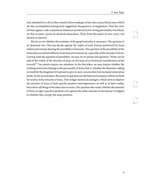<span id="page-7-0"></span>only admitted in so far as they stand in direct analogy to that class of psychical cures, which are also accomplished among us by suggestion, therapeutics, or magnetism. Thus the cures of Jesus appear, only as psychical influences produced by his strong personality, but which, on this account, cannot be declared miraculous. Thus, from this point of view, every real miracle is rejected.

<span id="page-7-2"></span><span id="page-7-1"></span>But let us see whether this estimate of the gospel miracles is necessary. The question is an historical one. One can decide against the reality of each miracle performed by Jesus without previously denying the possibility of miracles. The question of the possibility of the miraculous is entirely different from that of its historicity, especially of the miracles of Jesus. Leaving aside the question of possibility, we may try to answer the question: "What can be said of the reality of the miracles of Jesus on the basis of an historical consideration of the records?" Two points require our attention. In the first place, we may inquire whether the working of miracles belongs to the personality of Jesus; that is, whether the Messianic calling to establish the kingdom of God and to give to men a reconciled God included miraculous deeds. In the second place, the points in question are the historical instances which set forth the reality of the miracles of Jesus. Here religio-historical analogies, which seem to deprive the miracles of Jesus of their specific position and importance, as well as of their reality, have above all things to be taken into account. Our question also reads, whether the miracles of Jesus occupy a peculiar position over against the other miracles in the history of religion or whether they occupy the same position.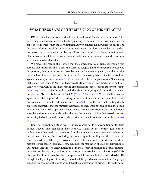#### **II**

# <span id="page-8-0"></span>**WHAT JESUS SAYS OF THE MEANING OF HIS MIRACLES**

DO the miracles of Jesus accord with his life and work? This is the first question. This query may be answered most positively by placing in the center of our consideration the copious testimonies which the Lord himself has given concerning his wondrous deeds. The discourses of Jesus reveal the purport of his person, and the closer they follow the work of the person the more valuable they become. If we can ascertain what Jesus himself thought of his miracles, it will be at the same time clear whether miracles stand in a positive or negative relation to his character.

<span id="page-8-5"></span><span id="page-8-3"></span><span id="page-8-2"></span><span id="page-8-1"></span>We repeatedly read in the Gospels that the contemporaries of Jesus believed on him because of his miracles. This, at any rate, seems to suggest that the evangelist also occupied this position, that miracles were an excellent means for awakening faith, and that for this purpose Jesus himself performed his miracles. The three synoptists and the Gospel of John agree in such expressions. In [John 11. 45](http://www.ccel.org/study/Bible:John.11.45), we read after the raising of Lazarus: "Then many of the Jews which came to Mary, and had seen the things which Jesus did, believed on him." Some, however, went to the Pharisees and embarrassed them by reporting the event (comp. [John 2. 23; 7. 26-31](http://www.ccel.org/study/Bible:John.2.23 Bible:John.7.26-John.7.31)). After the healing of the blind and dumb, the people seriously considered the question, "Is not this the son of David?" ([Matt. 12. 23;](http://www.ccel.org/study/Bible:Matt.12.23) [comp. 9. 33, seq.\)](http://www.ccel.org/study/Bible:Matt.9.33 Bible:Matt.9.34) In like manner again the fourth evangelist when recording the miracle at Cana, says: Jesus "manifested forth his glory; and his disciples believed on him" [\(John 2. 11\)](http://www.ccel.org/study/Bible:John.2.11). But there are not wanting clearly expressed statements that the miracles themselves as such, were not able to hold the people to Jesus. Not only sworn opponents know how to invalidate the significance of such signs; even the enthusiastic multitude makes the very feeding which it itself witnessed, a reason for turning its back upon the Master when further expectations remain unfulfilled ([John 6.](http://www.ccel.org/study/Bible:John.6.66) [66\)](http://www.ccel.org/study/Bible:John.6.66).

<span id="page-8-4"></span>Jesus, however, thinks otherwise. His miracles were not to be a condition for the faith of men. They are not intended in the least to excite faith. On the contrary, Jesus aims at nothing more than to distract attention from his miraculous deeds. We may understand this fact correctly only by considering the peculiarity of his calling and the relation into which he was brought thereby to his countrymen. He knew himself as the Messiah for whom his people were eagerly looking. He saw in himself the realization of Israel's religious hopes. But, at the same time, he knew himself to be in the keenest opposition to popular expectations. He was the Messiah, and he was not. He was the Messiah in the real meaning of God's plan; yet he did not resemble the conception which the people had of the Messiah. He brought the highest good of the kingdom of God, the good of consummation. The people expected the coming of the Messiah and that the manifestation of his benefits would be ac<span id="page-8-7"></span><span id="page-8-6"></span>11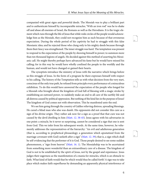companied with great signs and powerful deeds. The Messiah was to play a brilliant part and to authenticate himself by incomparable miracles; "With an iron rod" was he to shake off and abase all enemies of Israel, the Romans as well as the Herodians. It is the tragic element which runs through the life of Jesus that while wide circles of the people would acknowledge him as the Messiah, they could not recognize him as such because of that erroneous expectation. During the whole period of his captivity he had to struggle with this false Messianic idea; and he rejected those who clung only to his mighty deeds because through them their fancy was strengthened. The inner struggle was hard. The temptation was present to respond to the expectation of the people by showing himself in power; to summon more than ten thousand legions of angels. He decided against this method of asserting his Messianic call. He might thereby perhaps have advanced his fame but he would have missed his calling; for in this way he would have wholly confined the people to the worldly and the human, and would not have changed or gained their hearts.

The synoptists introduce the ministry of Jesus with the narrative which brings before us this struggle of Jesus. In the form of a program he there expresses himself with respect to his calling. The history of the Temptation tells us with what decision from the very start, conscious of the only true path, he refused from principle every performance of a miraculous exhibition. To do this would have answered the expectation of the people who longed for a Messiah who brought about the kingdom of God full of blessing with a magic stroke by establishing an outward power, to suddenly make an end to all care of the earthly life and all distress caused by political oppression. But nothing of the kind lies in the purpose of Jesus! The kingdom of God comes not with observation. This he manifested unto the end.

<span id="page-9-2"></span><span id="page-9-1"></span><span id="page-9-0"></span>We see him going through the country of Galilee relieving distress, spreading blessings. He cured a blind man who also was dumb. His opponents did not consider this cure as a sign of his divine origin. They rather ask now for a sign as a proof that that cure was not caused by the devil dwelling in him [\(Matt. 12. 38-45](http://www.ccel.org/study/Bible:Matt.12.38-Matt.12.45)). Jesus agrees with his adversaries in one point: a miracle, be it never so surprising, cannot be considered a sign that one is sent from God. This we infer from his subsequent words. At the same time, however, he vehemently addresses the representatives of the hierarchy: "An evil and adulterous generation (that is, according to prophetical phraseology; a generation which apostatized from the marriage covenant with God) seeketh after a sign" ([Matt. 12. 39\)](http://www.ccel.org/study/Bible:Matt.12.39); that is, a sign which shall be self-evidencing that the performer of it is God. Those people desired to see some sudden phenomenon, a "sign from heaven" [\(Matt. 16. 1](http://www.ccel.org/study/Bible:Matt.16.1)). The Messiahship was to be ascertained from something more wonderful than an extraordinary cure of a disease. The kingdom of God is not to be established by the spirit of Jesus, not by the gospel and repentance. Jesus judges their eagerness as the manifestation of a mania for miracles, which is an obstacle to faith. What kind of faith would that be which would thus be called forth! A sign was to take place which makes faith superfluous by demanding an apparently physical interference of <span id="page-9-3"></span>13

<span id="page-9-5"></span><span id="page-9-4"></span>14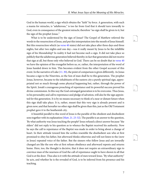God in the human world, a sign which obtains the "faith" by force. A generation, with such a mania for miracles, is "adulterous," is too far from God that it should turn inwardly to God, even in consequence of the greatest miracle; therefore "no sign shall be given to it, but the sign of the prophet Jonas."

<span id="page-10-3"></span><span id="page-10-1"></span><span id="page-10-0"></span>What is to be understood by the sign of Jonas? The Gospel of Matthew referred the words to the resurrection of Jesus, and put this interpretation into the mouth of Jesus himself. But this resurrection which (as [verse 40](http://www.ccel.org/study/Bible:Matt.12.40) states) did not take place after three days and three nights, but after two nights and one day—was it really meant by Jesus to be the infallible sign of his Messiahship? In reality it had not become such a sign. It did not take place so publicly that the adulterous generation believed thereby; in fact that generation did not receive that sign at all, but those only who believed in God. There can be no doubt that in [verse 40](http://www.ccel.org/study/Bible:Matt.12.40) we have the opinion of the evangelist before us, or, rather, the interpretation of the word of Jesus handed down to him. This becomes evident from the other Gospel account of this event. In the narrative of Luke (11.30), the point of comparison is given differently. As Jonas became a sign to the Ninevites, so the Son of man shall be to this generation. The prophet Jonas, however, became to the inhabitants of the eastern city a purely spiritual sign, appropriated not so much through some physical happening but, rather, through the power of the Spirit. Jonah's courageous preaching of repentance and its powerful success proved his divine commission. In this way the God-estranged generation is to be overcome. Thus Jesus, in his personality and call to repentance and pledge of salvation, will also be the sign appointed for this generation. It is by no means necessary to think of a near or distant future when this sign shall take place. It is, rather, meant that this very sign is already present and is given now; and that hereafter no other sign shall be given than this, just as the Old Testament prophet gave it to the heathenish city.

<span id="page-10-2"></span>A beautiful parallel to this word of Jesus is the parable of the obedient and disobedient sons together with its explanation ([Matt. 21. 23-32\)](http://www.ccel.org/study/Bible:Matt.21.23-Matt.21.32). The parable is an answer to the question, 'By what authority was Jesus teaching the people? Jesus refused a direct answer because "the elders" did not reply to his question as to whence the Baptist received his authority. Now he says the call to repentance of the Baptist was made in order to bring about a change of heart. In their attitude toward him the scribes resemble the disobedient son who at first promised to obey his father, but afterward thinks otherwise and will not listen to the (now in Jesus) repeated voice of the father. But the sinners who follow Jesus and are inwardly changed are like the son who at first refuses obedience and afterward repents and returns home. Here, too, the thought is decisive, that it does not require an extraordinary sign to convince man of the nearness of God the call of repentance ought to have shown to all that God is at the door. Thus also is it with the attitude of men toward Jesus. "By what authority" he acts, and whether he is the revealed of God, is to be inferred from his presence and his teaching.

<span id="page-10-4"></span>16

<span id="page-10-6"></span><span id="page-10-5"></span>17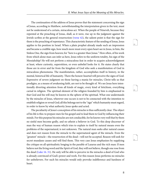<span id="page-11-0"></span>The continuation of the address of Jesus proves that the statement concerning the sign of Jonas, according to Matthew, notwithstanding the interpretation given in the text, must not be understood of a certain, miraculous act. When the people of Nineveh, because they repented at the preaching of Jonas, shall, as it were, rise up in the judgment against the Jewish scribes at the general resurrection ([verse 42](http://www.ccel.org/study/Bible:Matt.12.42)), the salient point is that the sign for them is the preaching of repentance. This characteristic feature of the sending of Jonas, Jesus applies to his position in Israel. When a plain prophet already made such an impression and became a credible sign, how much more must every open heart see in Jesus, in him, the Sinless One, the sign from heaven; for "here is a greater than Jonas." How often, of his work from which alone man can infer as here, Jesus refers to the uniform totality, his sign of the Messiahship! He will not perform a miraculous feat in order to acquire acknowledgment at least, where curiosity, superstition, or even unbelief looks for it. He states clearly that those are in error and far from the kingdom of God who seek a manifestation of God in miraculous phenomena. The manifestation, rather, accomplishes itself in history, in the mental, historical life of humanity. There the honest-hearted will perceive the signs of God. Expressive of severe judgment on those having a mania for miracles, Christ tells us that prodigies, as a means of awakening faith, are not to be thought of. We see Jesus here intentionally diverting attention from all kinds of magic, every kind of fetichism, everything carnal in religion. The spiritual element of the religion founded by him is emphasized in that God and his will may be known in the sphere of the spiritual. What one understands by the miracles of Jesus, wherever one occurs is not to be connected with the intention to establish religion or reveal God; all this belongs not to the "sign" which humanity must regard, in order to know by what authority Jesus spoke and acted.

<span id="page-11-1"></span>The peculiarity of Jesus's conception of his miracles is thus sufficiently clear. The object of his life is this: to prepare men for his gospel and to lead them to God by influencing their minds. For this purpose his miracles are not conducible, for he knows very well that by them no sinful men become godly, and no atheist a believer in God. To this deep discerner of man the way of human reason which tries to explain to itself by natural means even the problems of the supernatural, is not unknown. The natural man seeks after natural causes and does not reason from the miracle to the supernatural agent of the miracle. Even the "greatest" miracle—the resurrection of the dead—will not be accepted. Reason will seek for secret mundane causes and will find them. This very case Jesus emphasizes by supplying the critique on all spiritualistic longing in the parable of Lazarus and the rich man: If men believe not the living word and the Spirit of God, they will not believe, though one rose from the dead [\(Luke 16. 31\)](http://www.ccel.org/study/Bible:Luke.16.31). He only will be able to perceive in the miracles a deed of God who is already convinced of God's power and work. For this reason Jesus performs no miracles for unbelievers. For such his miracles would only provoke indifference and hardness of heart.

<span id="page-11-2"></span>19

<span id="page-11-4"></span><span id="page-11-3"></span>20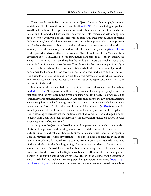<span id="page-12-3"></span><span id="page-12-0"></span>These thoughts we find in many expressions of Jesus. Consider, for example, his coming to his home city of Nazareth, as Luke describes it [\(4. 23-27\)](http://www.ccel.org/study/Bible:Luke.4.23-Luke.4.27) . The unbelieving people have asked him to do before their eyes the same deeds as in Capernaum; but he refuses, and refers to Elias and Eliseus, who did not use the God-given power for miraculous help among Jews, but bestowed it upon two non-Israelites who, by their faith, were truly qualified to receive the blessing. Or, let us take the answer to the question of the Baptist, in which he emphasizes the Messianic character of his activity, and mentions miracles only in connection with the founding of the Messianic kingdom, and subordinates them to his preaching ([Matt. 11. 2-6\)](http://www.ccel.org/study/Bible:Matt.11.2-Matt.11.6). He designates his activity as that of the promised Messiah, and refers to the Messianic time as predicted by Isaiah. Events of a wondrous nature have come to pass, but the miraculous element in them is not the main thing, but the result: that misery ceases when God's hand is stretched out in mercy and tenderness. Thus those miracles come into question only as elements in the preaching of salvation, and this is also indicated in the answer of Jesus when he commanded them to "Go and show John again those things which ye do hear and see." God's kingdom of blessing comes through the joyful message of Jesus, which preaching, however, is accompanied by distinctive characteristics of the happy state which is yet to be restored in God's world.

<span id="page-12-4"></span><span id="page-12-2"></span>In a more decided manner is the working of miracles subordinated to that of preaching in [Mark 1. 33-39](http://www.ccel.org/study/Bible:Mark.1.33-Mark.1.39). At Capernaum in the evening, Jesus healed many sick people. With the first early dawn he retires from the city to a solitary place for prayer. His disciples, led by Peter, follow after him, and, finding him, wish to bring him back to the city, as the inhabitants were seeking him. And he? "Let us go into the next towns, that I may preach there also: for therefore came I forth." Luke, who describes more fully this event ([4. 42-44\)](http://www.ccel.org/study/Bible:Luke.4.42-Luke.4.44), makes him say still plainer that his life's object was none other than the preaching of the kingdom of God. According to this account the multitude itself had come to Jesus and urged him not to depart from them; but he tells them plainly: "I must preach the kingdom of God to other cities also; for therefore am I sent."

<span id="page-12-5"></span><span id="page-12-1"></span>All this proves that Jesus considered his miraculous power not as something independent of his call to repentance and the kingdom of God, nor did he wish it to be considered as such. In estimate and value as they easily appear at a superficial glance in the synoptic Gospels, miracles are of little importance. Jesus himself does not consider them as the quintessence of his work. Nevertheless, according to our records, he so readily demonstrated his divinity by his miracles that the granting of the same must have been of decisive importance to him. Indeed, Jesus did not consider his miracles as a superfluous element of his appearance, but, as the answer to the Baptist already showed, they were for him an important element in the coming of the kingdom of God, as is seen in the fact that on the occasion on which he rebuked those who were seeking signs he again refers to his works ([Matt. 12. 33,](http://www.ccel.org/study/Bible:Matt.12.33-Matt.12.34) [seq.;](http://www.ccel.org/study/Bible:Matt.12.33-Matt.12.34) [Luke 11. 14, seq.](http://www.ccel.org/study/Bible:Luke.11.14-Luke.11.15)). Miraculous cures were not uncommon or unexpected among those <span id="page-12-6"></span>22

<span id="page-12-8"></span><span id="page-12-7"></span>23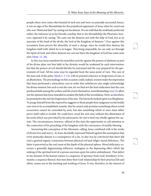people; there were some who boasted of such arts and were occasionally successful; hence, it was no sign of his Messiahship for the prejudiced opponents of Jesus when he cured one who was "blind and deaf" by casting out his demon. We are told that the multitude preferred, rather, the inference as to his Davidic sonship, that is, his Messiahship; the Pharisees, however, opposed it by saying: "He casts out the demons not with the help of God, but as an associate of the head of the devils, the lord of the kingdom of demons." Over against this accusation Jesus proves the absurdity of such a charge, since he would thus destroy the kingdom itself with which he is in league. This being impossible, he can only act through the Spirit of God; and where demons are cast out there the kingdom of God has come unto men [\(Matt. 12. 28](http://www.ccel.org/study/Bible:Matt.12.28)).

<span id="page-13-2"></span><span id="page-13-1"></span><span id="page-13-0"></span>In this way Jesus manifests his matchless activity against the powers of darkness as part of his divine plan; not that faith in his divinity would be weakened by such intervention, but that the powers of evil should thereby be restrained and the way prepared for the government of God. All his cures may be regarded from the same point of view. The cure of the man sick of the palsy ([Mark 2. 3-13](http://www.ccel.org/study/Bible:Mark.2.3-Mark.2.13)), with its pointed reference to forgiveness of sins, is an illustration. The proceedings on this occasion could, indeed, soonest make the impression that Jesus performed a miraculous cure in order that unbelievers also might acknowledge his divine mission; but such is not the case, for we find not the least indication that the cure produced faith among the scribes; and the events themselves, notwithstanding [verse 10,](http://www.ccel.org/study/Bible:Mark.2.10) allow not the opinion that Jesus intended to awaken the faith of the incredulous. Here, as elsewhere, he promised to the sick the forgiveness of his sins. The hierarchs looked upon it as blasphemy. To purge himself from this reproof he suggests to those people their judgment on the bodily cure now to be accomplished, namely, that he cannot only promise something whose actual occurrence cannot be controlled by men, but also something which at once must either prove itself valid or invalid. He could have cured the sick man without this illustration of his work which was provoked by his adversaries, for not to heal was wholly against his custom. The circumstances, however, offered at this time the opportunity to call attention to the connection of his preaching of the kingdom with the conveyance of earthly blessing.

Answering this conception of the Messianic calling, Jesus combined with it the works of divine love and mercy. As Jesus decidedly expressed himself against the assumption that every particular disease is a consequence of a sin, so also was he convinced that there did exist a general organic connection between physical evil and religio-moral deficiency. The latter is perceived as the real cause of the depth of the physical sphere. Moral deficiency exercises a generally degenerating influence, analogous to the depressing effect which the sinking of the spiritual level of a person exercises upon his entire embodiment. That defect in the domain of the human nature is a sequence of apostasy from God, hereditary in humanity; a sequence thereof, that men deny their God-relationship by their practical life and effort, comes out in the teaching and working of Jesus. It was, therefore, in the interest of <span id="page-13-3"></span>25

<span id="page-13-5"></span><span id="page-13-4"></span>26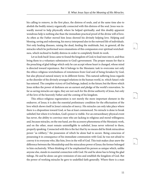his calling to remove, in the first place, the distress of souls, and at the same time also to abolish the bodily misery organically connected with this distress of the soul. Jesus was inwardly moved to help physically where he helped spiritually; and this doubly apparent wondrous help is nothing else than the immediate practical proof of the divine will of love. As often as the Father moved him Jesus showed his divinely helping love. Helping and blessing, saving and redeeming, his mercy interposed also in the outward life of individuals. Not only healing diseases, raising the dead, feeding the multitude, but, in general, all the miracles which he performed were emanations of this compassion over spiritual wretchedness, which inclined to bodily distress in order to completely finish its work.

Let us look back! Jesus came to found the kingdom of God; to lead men into it, and thus bring them to a voluntary submission to God's government. The proper means for that is the preaching of glad tidings which only he can accept whose heart is changed, whose mind is directed toward repentance. But it belongs to the Messianic task to overcome not only the ethico-religious wretchedness of remoteness from God and of being forsaken by God, but also physical natural misery in its different forms. This natural suffering Jesus regards as the disorder of the divinely arranged relations in the human world, in. which Satan's rule has entered. The complete victory of God belongs, indeed, to the future; but the blows which Jesus strikes the power of darkness are an earnest and pledge of the world's renovation. So far as saving miracles are signs, they are not such for the divine authority of Jesus, but only of the love of the heavenly Father and the coming of his kingdom.

This ethico-religious regeneration is not merely the more important element in the endeavor, of Jesus; it is also the essential preliminary condition for the effectuation of the love which shows itself in Jesus's miracles of mercy. His miracles can only take place where there is a disposition toward God, or has at least commenced. No miracle is done to break unbelief; but where it is broken, God's power is visible. For an extraordinary physical event has never, the ability to convince men who are lacking in religious and moral willingness; and, because miracles, on the one hand, are the accessory phenomena of the Messianic work, and on the other, must remain unintelligible to unbelief, Jesus never referred to them, properly speaking. Connected with this is the fact that by no means did he think miraculous power "as robbery," the possession of which he alone had to secure. Being conscious of possessing it in consequence of his immediate communion with God, he was not afraid to convey it to everyone who, like him, lives in the will of God. This trait makes clear anew the difference between the Messiahship and the miraculous power of Jesus; the former belonged to him exclusively. When thinking of it he emphasized his person as unique which, unlike anyone else, stands in essential connection with God. He and he alone has to bring the glad tidings. He and he alone can give remission of sins and establish the kingdom of God. But the power of working miracles he gave to undefiled faith generally. Where there is a man

<span id="page-14-0"></span>28

<span id="page-14-2"></span><span id="page-14-1"></span>29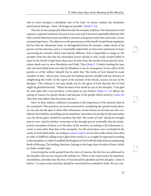<span id="page-15-0"></span>who in every moment is absolutely sure of his God—to whom, indeed, also absolutely moral purity belongs—there "all things are possible" [\(Mark 9. 23\)](http://www.ccel.org/study/Bible:Mark.9.23).

<span id="page-15-5"></span><span id="page-15-1"></span>Thus far we have purposely followed only the synoptic tradition. The Johannean record requires a separate treatment, because it may seem and it has been repeatedly affirmed, that John and the Johannean Jesus ascribed to miracles a far greater and at the same time, a more external importance. The objectors to the genuineness of the fourth Gospel freely emphasize the fact that the Johannean Jesus, as distinguished from the synoptic, makes much of his person and his miracles; and it is remarkable indeed that we have here statements of Jesus concerning his miracles which read entirely different. Was it impossible to assign to. the synoptic Jesus the idea that his miraculous power should or only could, awaken belief in man? In the fourth Gospel more than once we hear from the mouth of Jesus that his miraculous deeds were to serve Revelation and Faith. Thus [\(John 9. 3\)](http://www.ccel.org/study/Bible:John.9.3) before healing the man who was born blind Jesus says that his blindness is not in consequence of sin, either of the parents or of the sufferer himself, but in order that "the works of God should be made manifest in him," and at once. Jesus puts his healing ministry parallel with his ministry of enlightening the world. At the report of the sickness of his friend, Lazarus, he says to the disciples: "This sickness is not unto death, but for the glory of God, that the Son of God might be glorified thereby." When he hears of his death he says to his disciples: "I am glad for your sakes that I was not there, to the intent ye may believe" ([John 11. 15](http://www.ccel.org/study/Bible:John.11.15)). Before the raising of Lazarus he openly thanks God because of the people which stood by [\(verse 42](http://www.ccel.org/study/Bible:John.11.42)) "that they may believe that thou hast sent me."

<span id="page-15-6"></span><span id="page-15-4"></span><span id="page-15-3"></span><span id="page-15-2"></span>Have we here, indeed, a different conception of the importance of the miracles than in the synoptists? This question can not be answered by considering the quoted words alone; we can only decide upon it when other Johannean words of Jesus on miracles are also considered. Nevertheless, something can be stated here. Jesus does not say that by this miraculous cure his divine glory should be manifest, but that "the works of God" should be brought near to men. And the further connection of the thought proves irrefutably that the fundamental conception of Jesus, as to the place of his miracles, according to the Johannean account, is none other than that of the synoptists. For the miraculous cure is included in the works of God which latter, according to [verses 4 and 5,](http://www.ccel.org/study/Bible:John.11.4 Bible:John.11.5) are just the works which Jesus does in order to fulfill his calling as the Light of the world; or, as it might be expressed according to the synoptists, in order to establish the kingdom of God with the help of the accompanying deeds of blessing. The healing, therefore, belongs to the large class of works of Jesus, which we shall consider later.

<span id="page-15-7"></span>Concerning the words quoted from the story of Lazarus, the first two are addressed to the disciples who are not classed with unbelievers. When at the resurrection the intention, nevertheless, prevailed that the Son of God should be glorified and the disciples "come to believe," it cannot mean that they should be converted from unbelief to faith. We are com-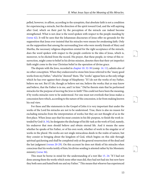<span id="page-16-4"></span>pelled, however, to affirm, according to the synoptists, that absolute faith is not a condition for experiencing a miracle, but the direction of the spirit toward God, and the will aspiring after God, which on their part by the perception of the miracle can indeed become strengthened. What is not clear is the word spoken with respect to the people standing by ([verse 42\)](http://www.ccel.org/study/Bible:John.11.42). It will be seen that the Johannean discourses of Jesus offer no grounds for the supposition that Jesus ever insisted that his miracles were means for awakening faith. Only on the supposition that among the surrounding Jews who were mostly friends of Mary and Martha, the necessary religious disposition existed for the right acceptance of the miracle, does the word spoken with respect to the people conform to the idea of Jesus, which is, moreover, to be elicited from the record. His prayer, that these people, in virtue of this resurrection, might come to belief in his divine mission, denotes then that their yet imperfect faith might come to the true Christian belief in the operation of divine grace.

<span id="page-16-3"></span>The dispute with the Jews, recorded in [chapter 10. 32-38](http://www.ccel.org/study/Bible:John.10.32-John.10.38) (comp. [14. 11\)](http://www.ccel.org/study/Bible:John.14.11), admits also of no other conception. When they endeavored to stone him Jesus referred to the "many good works from my Father," which he "showed" them. The "works" appear here *as* the only refuge which he has over against their charge of blasphemy: "If I do not the works of my Father, believe me not. But if I do, though ye believe not me, believe the works; that ye may know and believe, that the Father is in me, and I in him." Did he therein state that he performed miracles for the purpose of moving the Jews to faith? This could not have been the meaning, if by works miracles were to be understood. For one must not overlook that Jesus makes a concession here which, according to the nature of the concession, is far from making known his real view.

<span id="page-16-1"></span><span id="page-16-0"></span>For these and like statements in the Gospel of John it is very important that under the works of the Lord his miracles are not to be understood. True, there is also no reason for excluding miracles from the interpretation of works; but they are not thought of as in the first place. When Jesus says that his meat consists in his life-purpose, to finish the work intended by God [\(4. 34\)](http://www.ccel.org/study/Bible:John.4.34), he designates the discharge of his life-task as the work of God, namely, his endeavor that men should believe and obtain eternal life. And it means the same whether he speaks of his Father, or of his own work, whether of work in the singular or of works in the plural. His works are not single miraculous deeds in the realm of nature, but they consist in bringing about the kingdom of God, which begins on this side through spiritual quickening and shall be completed only at the general resurrection of the dead and the last judgment [\(verses 20-29](http://www.ccel.org/study/Bible:John.4.20-John.4.29)). On this account he does not think of his miracles when conscious that his works testify of him; his divine sending is attested rather by his Messianic ministry ([verse 36](http://www.ccel.org/study/Bible:John.4.36)).

<span id="page-16-5"></span><span id="page-16-2"></span>This must be borne in mind for the understanding of a text like [15. 24:](http://www.ccel.org/study/Bible:John.15.24) "If I had not done among them the works which none other man did, they had not had sin: but now have they both seen and hated both me and my Father." This means that whoever has experienced <span id="page-16-6"></span>34

<span id="page-16-8"></span><span id="page-16-7"></span>35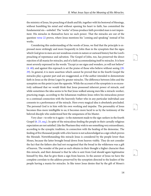<span id="page-17-2"></span>the ministry of Jesus, his preaching of death and life, together with his bestowal of blessings, without humbling his mind and without opening his heart to faith, has committed the fundamental sin—unbelief. The "works" of Jesus produce faith provided man is not impenitent. His miracles in themselves have no such power. That the miracles are out of the question [verse 22](http://www.ccel.org/study/Bible:John.15.22) proves, where Jesus mentions his "coming and speaking" instead of his works.

<span id="page-17-0"></span>Considering this understanding of the words of Jesus, we find that the principle is expressed more strikingly and more frequently in John than in the synoptists that the signs which God gives to men are not wondrous events in nature or outward history but the Lord's preaching of repentance and salvation. The Gospel of John, too, has preserved the direct rejection of all mania for miracles, and of a faith accommodating itself to miracles. It is here most severely expressed in the words: "Except ye see signs and wonders, ye will not believe" ([4. 48\)](http://www.ccel.org/study/Bible:John.4.48); and against this reproach is set the praise of those who believe without seeing ([20.](http://www.ccel.org/study/Bible:John.20.29) [29\)](http://www.ccel.org/study/Bible:John.20.29). In general, it is mere assertion which cannot be proved that in the fourth Gospel the miracles play a greater part and are exaggerated, as if the author intended to demonstrate faith in Jesus as the divine Logos by greater miracles. The difference between John and the synoptists on this point is just the opposite. While the account of the synoptists is so excessively unbiased that we would think that Jesus possessed inherent power of miracle, and while sometimes the idea seems to be that Jesus walked among men like a miracle-worker, practicing magic, according to the Johannean tradition Jesus refers his miraculous power to a continual connection with the heavenly Father who in any particular individual case consents to a performance of the miracle. Here every magical idea is absolutely precluded. The personal God is in him with his own working and impulse. The personality of Jesus becomes thus more intelligible to us; it becomes more lucid to us by the testimony of the beloved disciple who understood best the uniqueness of his Master.

<span id="page-17-1"></span>Very clear—to refer to it again—is the statement made to the sign-seekers in the fourth Gospel ([6. 25, seq.](http://www.ccel.org/study/Bible:John.6.25-John.6.26)). In spite of the miraculous feeding the people in their carnally religious expectation are not satisfied. Like the Pharisees they wish to see something very extraordinary, according to the synoptic tradition, in connection with the healing of the demoniac. The feeding of five thousand people with a few loaves is not acknowledged as a sign which proves the Messiah. Notwithstanding this miracle Jesus is considered by the people lower than Moses, because the latter brought bread down from heaven visibly. They do not consider the fact that the fathers also had not recognized that the bread in the wilderness was a gift of heaven. The wonder of the past as such obtains in their thought a higher character than this miracle, and their demand is that he who is sent from God should again legitimatize himself by this, that he give them a sign from heaven. In the answer of Jesus we have the complete correlate to the address preserved by the synoptists directed to the leaders of the people having a mania for miracles. In like tenor Jesus denies that by the gift of Moses's

<span id="page-17-3"></span>37

<span id="page-17-5"></span><span id="page-17-4"></span>38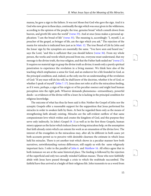<span id="page-18-5"></span><span id="page-18-4"></span><span id="page-18-3"></span><span id="page-18-2"></span><span id="page-18-0"></span>manna, he gave a sign to the fathers. It was not Moses but God who gave the sign. And it is God who now gives in these days, continually the sign which was once given in the wilderness, according to the opinion of the people; the true, genuine bread "which cometh down from heaven, and giveth life unto the world" [\(verse 33\)](http://www.ccel.org/study/Bible:John.6.33). And at once Jesus makes a personal application: "I am the bread of life" ([verse 35](http://www.ccel.org/study/Bible:John.6.35)). The meaning is, accordingly: "I, myself, I, as preacher of the gospel, as bringer of life, am the sign which you ask." The rejection of the mania for miracles is indicated here just as in [Matt. 12](http://www.ccel.org/study/Bible:Matt.12.38-Matt.12.45). The true Bread of Life by John and the Jonas' sign by the synoptists are essentially the same. "You have seen and heard me," says the Lord, "and this is sufficient that you should believe [\(verse 36\)](http://www.ccel.org/study/Bible:John.6.36). From my whole person, the works and words which proceed from me, everyone must understand, that my message is the divine truth, the true religion, and that the Father hath sealed me" [\(verse 27\)](http://www.ccel.org/study/Bible:John.6.27). It requires no material sign to grasp the divine truth as divine; it needs only a purely spiritual penetration to experience the revelation in a living manner. We think here also of the teaching which emphasizes a sense for God, and an endeavor for a life founded in God, as the principal condition; and, indeed, as the only one for an understanding of the revelation of God: "If any man will do his will, he shall know of the doctrine, whether it be of God, or whether I speak of myself" [\(John 7. 17](http://www.ccel.org/study/Bible:John.7.17)). Jesus does not refer at all to the miraculous feeding, as if it were, perhaps, a sign of his origin or of his peculiar essence and might lead human perception into the right path. Whoever demands phenomena—extraordinary, powerful deeds—as evidences of the divine will be a loser; he is lacking in the principal condition for religious knowledge.

<span id="page-18-7"></span><span id="page-18-6"></span><span id="page-18-1"></span>The outcome of what has thus far been said is this: Neither the Gospel of John nor the synoptic Gospels offer a reasonable support for the supposition that Jesus performed his miracles in order to awaken faith by them. At best he regarded them only as the means of strengthening faith already existing. Miracles are the self-evident outflow of that same compassionate love which wishes and creates the kingdom of God, and this purpose they serve only indirectly. In John's Gospel [\(9. 3\)](http://www.ccel.org/study/Bible:John.9.3) as well as in the first three Gospels, human misery appears as the factor which induces Jesus to bring miraculous help, on the assumption that faith already exists which can esteem his work as an emanation of the divine love. The interest of the evangelists in the miraculous may, after all, be different in both cases; yet both accounts permit us to perceive with desirable clearness the estimate in which Jesus held his miracles. There is yet another trait which shows in a peculiar manner how both narratives, notwithstanding various differences, still supply us with the same religiously important facts. I refer to the parallel of [John 6.](http://www.ccel.org/study/Bible:John.6.1-John.6.71) and [Matthew 16](http://www.ccel.org/study/Bible:Matt.16.1-Matt.16.28). All ethics agree that in both instances we are at the same historical place. The feeding is followed by the rejection of the superficial and only too carnally-minded Galilean masses. Those who now faithfully abide with Jesus have passed through a crisis to which the multitude succumbed. The faithful have thus arrived at a height of their religious life. John transmits to us a word from

<span id="page-18-8"></span>40

<span id="page-18-10"></span><span id="page-18-9"></span>41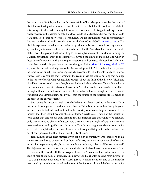<span id="page-19-1"></span><span id="page-19-0"></span>the mouth of a disciple, spoken on this new height of knowledge attained by the band of disciples, confessing without reserve that the faith of the disciples did not have its origin in witnessing miracles. When many followers in consequence of disappointed expectations had turned from the Master he asks the closer circle of his twelve, whether they too would leave him. Then Peter answered: "To whom shall we go? thou halt the words of eternal life. And we have believed and know that thou art the Holy One of God" ([John 6. 67, seq.\)](http://www.ccel.org/study/Bible:John.6.67-John.6.68). The disciple expresses the religious experience by which he is overpowered not any outward sign, not any miraculous act has led him to believe, but the "words of life" out of the mouth of the Lord—the gospel itself. According to the synoptists Jesus, after his failure among the Galilean population, went to the northwest, beyond the limits of Palestine; and when in these days of itinerancy with the disciples he approached Caesarea Philippi he asks his disciples that remarkable question what they thought of him ([Matt. 16. 13, seq.](http://www.ccel.org/study/Bible:Matt.16.13-Matt.16.14); [Mark 8. 27,](http://www.ccel.org/study/Bible:Mark.8.27-Mark.8.28) [seq.\)](http://www.ccel.org/study/Bible:Mark.8.27-Mark.8.28). At the full acknowledgment of his Messiahship, which Peter makes, Jesus expresses the same canon on religious knowledge which, according to John, Peter formulated in other words. Jesus is convinced that nothing in the realm of visible events, nothing that belongs to the sphere of earthly happenings, has brought about the faith of the disciple. "Flesh and blood hath not revealed it unto thee, but my Father which is in heaven." It is a direct divine effect when man comes to this condition of faith. Man does not become certain of the divine through influences which come from the life in flesh and blood, though such were ever so wonderful and extraordinary, but by this, that the source of the spiritual life is opened to the heart in the gospel of Jesus.

Such being the case, one might easily be led to think that according to the view of Jesus the miraculous in general could not be an object of faith. But this would evidently be going too far. There is, indeed, no doubt that in the working of miracles he gave no room to the thought that they should become objects of faith. Nevertheless, it was not the thought of Jesus either that one should deny offhand that his miracles can and ought to be believed. Only they cannot be objects of nascent faith. From a certain height of faith only can one perceive the fact and significance of a miracle. That Jesus wrought wonders is not to be inserted into the spiritual possession of a man who through a living, spiritual experience has not already possessed faith in the divine dignity of Jesus.

Jesus himself is the great miracle, given for a sign to humanity; who, therefore, in his sinlessness can dare to convince all of their sinfulness, can dare to convince all of sin and to call all to repentance; who, by virtue of a divine authority subjects all hearts to himself. This is Jesus's own declaration, and, let us add, also the declaration of his great apostle Paul. He traversed the world with the message of Jesus, the Miraculous One, who works in the souls of men the miracle of miracles. But nowhere in his epistles does he refer in proof of it to a single miraculous deed of the Lord, just as he never mentions any of the miracles performed by himself as recorded in the Acts of the Apostles, although he had occasion for

<span id="page-19-2"></span>43

<span id="page-19-4"></span><span id="page-19-3"></span>44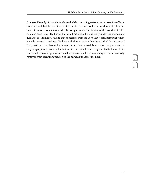doing so. The only historical miracle to which his preaching refers is the resurrection of Jesus from the dead; but this event stands for him in the center of his entire view of life. Beyond this, miraculous events have evidently no significance for his view of the world, or for his religious experience. He knows that in all his labors he is directly under the miraculous guidance of Almighty God, and that he receives from the Lord Christ spiritual power which is made perfect in weakness. He lives with the conviction that Jesus is the Messiah sent of God; that from the place of his heavenly exaltation he establishes, increases, preserves the holy congregations on earth. He believes in that miracle which is presented to the world in Jesus and his preaching, his death and his resurrection. In his missionary labors he is entirely removed from directing attention to the miraculous acts of the Lord.

<span id="page-20-1"></span><span id="page-20-0"></span>46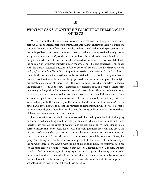#### **III**

# <span id="page-21-0"></span>**WHAT WE CAN SAY ON THE HISTORICITY OF THE MIRACLES OF JESUS**

WE have seen that the miracles of Jesus are to be estimated not only as a constituent part but also as an integral part of his entire Messianic calling. The first of these two questions has been decided in the affirmative; miracles make no break either in the personality or in the calling of Jesus. We turn to the second question: What can be ascertained purely historically concerning the reality of the miracles of Jesus? It has already been pointed out that the question as to the reality of the miracles of Jesus has two sides. Here we do not deal with the question as to whether miracles are, on the whole, possible and conceivable, but solely with the purely historical question, whether historical instances can be obtained for the reality of the miracles of Jesus. But this question also demands division. In the first place, it comes in the form whether anything can be ascertained relative to the reality of miracles from a consideration of the state of the gospel tradition. In the second place, the religiohistorical consideration obtrudes itself with power. Antiquity is rich in miracles which, like the miracles of Jesus in the new Testament, are ascribed both to heroes of heathenish mythology and legend, and also to truly historical personalities. Thus the problem is not to be rejected, but must present itself to every man, to every Christian: If the miracles of Jesus are to be accepted from Christian sources as historical facts, should one not judge with the same certainty as to the historicity of the miracles handed down in heathendom? On the other hand: If we hesitate to accept the miracles of heathenism, in which we see, perhaps, purely fictitious legend, should we not also deny the reality of the miracles of Jesus? To both of these questions we now turn our attention.

It may seem that, on the whole, one must concede that on the ground of historical inquiry he cannot assert something about the reality of an object which is supernatural, and which therefore lies outside the circle of events which we call historical. Without doubt this is correct; history can never speak the last word in such questions. How will one prove the historicity of a thing which, according to its very historical connection between cause and effect, is undiscernible? How will one establish a miracle through historical and literary inquiry? Such being the case, the other is also impossible: to try to prove the unhistoricity of the miracle records of the Gospel with the aid of historical inquiry. For history as such has for the same reason no right to speak on that subject. Through historical inquiry we may be able to find out instances, probability arguments for or against the reality of a recorded miracle; and we shall soon see that from the gospel records themselves a number of reasons can be referred to for the historicity of the miracles which, just as far as historical arguments are able, speak in favor of the reality of those miracles.

<span id="page-21-2"></span><span id="page-21-1"></span>48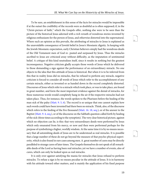To be sure, an establishment in this sense of the facts for miracles would be impossible if at the outset the credibility of the records were as doubtful as is often supposed; if, in the "Christ-picture of faith," which the Gospels offer, nothing else were to be seen than the picture of the historical Jesus adorned with a rich wreath of wondrous stories invented by religious enthusiasm for the person of Jesus, and otherwise distorted into the supernatural. Where such an opinion as this prevails, the attributing of miracles to Jesus is explained as the unavoidable consequence of Jewish belief in Jesus's Messianic dignity. In keeping with the Jewish Messianic expectation, early Christian believers simply had the wondrous deeds of the Old Testament men of God re- peated and surpassed by Jesus. Thus the miracles ascribed to Jesus are criticized away without difficulty, as the imputation of sentimental belief. A critique of this kind neutralizes itself, since it results in nothing but the greatest inconsequence. Negative criticism gladly accepts those words of Jesus which he delivered to those demanding a sign against the performance of an extraordinary miracle. No one objects to the idea that this attitude of Jesus is historical. But when it is to be inferred from this that in reality Jesus did no miracles, that he refused to perform any miracle, negative criticism is forced to consider all words of Jesus which refer to the accomplishment of any certain miracle, either as invented or as handed down in the record completely distorted. Discourses of Jesus which refer to a miracle which took place, or was to take place, are found in great number, and form the most important evidence against the denial of miracles, for these numerous words would completely hang in the air if the respective miracles had not taken place. Thus, for instance, the words spoken to the Pharisees before the healing of the man sick of the palsy ([Matt. 9. 5, 6\)](http://www.ccel.org/study/Bible:Matt.9.5 Bible:Matt.9.6). The record is so unique that one cannot explain how such words could have been invented had there been no miracle. Think, also, of the discourse which refers to the feeding of the five thousand ([Matt. 16. 18, seq.](http://www.ccel.org/study/Bible:Matt.16.18-Matt.16.19)), or of the answer to the Baptist ([Matt. 9. 4, seq.\)](http://www.ccel.org/study/Bible:Matt.9.4-Matt.9.5), or of the discourse on the Sabbath question called forth by healing of the sick (three times according to the synoptists). The very clear historical picture, against which no objection can lie, is this: that very extraordinary deeds were performed by Jesus which only emanated from his mercy, or now and then were performed perhaps for the purpose of symbolizing a higher, worldly wisdom. At the same time it is by no means necessary that all astonishing deeds of Jesus are to be understood as real miracles. It is possible that a large number of these do not go beyond the measure of that psycho-physical superiority, which is also found in rare cases among men. A. great number of cures may be directly paralleled to strange cures of later times. The Gospels themselves do not speak of all remarkable deeds of the Lord as having been real miracles; yet we have a number of events, also of cures, which can only be looked upon as real miracles.

<span id="page-22-2"></span><span id="page-22-1"></span><span id="page-22-0"></span>It is only over against satisfying the mania for miracles that Jesus refused to perform miracles. To refuse a sign is by no means peculiar in the attitude of Jesus. It is in harmony with his attitude toward other matters, and is mainly the application of his fixed purpose <span id="page-22-3"></span>50

<span id="page-22-5"></span><span id="page-22-4"></span>51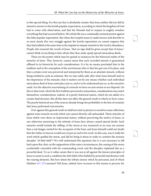to this special thing. For this one fact is absolutely certain: that Jesus neither did nor did he intend to answer to the Jewish popular expectation, according to which the kingdom of God had to come with observation; and that the Messiah had to surpass in mighty wonders everything that had occurred before. His whole life was a continually strained protest against this false popular expectation. But when the Gospels mean to make known and describe to us most clearly this very struggle against the Jewish expectation we cannot suppose that they had yielded at the same time to the impulse to impute miracles to the Lord in abundance. People who transmit the words of Jesus, "that no sign shall be given except that of Jonas," cannot think of ascribing to him whom they thus make speak special miraculous deeds.

These are the points which may be quoted as instances for the historical reality of the miracles of Jesus. This, however, cannot mean that each recorded miracle is guaranteed offhand in its historicity by such considerations. It is by no means precluded that in the tradition and in the conception of the eyewitnesses this or that fact got out of its place, and that a certain event was perceived and interpreted by them as an absolute miracle, without being entitled to such an estimate. But we may safely add, after what Jesus himself said on the importance of his miracles, that it matters not by any means whether each individual miraculous deed of Jesus took place just so, and is to be understood just so, as the narrative reads. For the objective ascertaining of a miracle we have no sure means at our disposal. On this or that event, which the first tradition perceived as miraculous, considerations may assert themselves; considerations, indeed, of a purely historical nature, which do not admit of a certain final decision. But all this does not affect the general result to which we have come. The purely historical use of the sources already brings the probability to the line of certainty that Jesus performed real miracles.

<span id="page-23-0"></span>Over against this general result we shall not omit to picture to ourselves some reflections against some miracle records which one cannot directly call unfounded. Those miracles of Jesus which were done on impersonal nature, without perceiving the motive of Jesus, or one otherwise answering to the attitude of Jesus have always caused special doubt. Such miracles would include the stilling .of the storm at sea, inasmuch as we may not assume that a real danger existed for the occupants of the boat; and Jesus himself could not doubt that the Father in heaven would not yet put an end to his work. In this case, was it really his word which quelled the storm, and did he bring it about in order to comfort the anxious disciples "of little faith"? We well understand this question; but it is not necessary to fall back upon this, that, on the supposition of the outer circumstances, the ceasing of the storm accidentally coincided with his commanding word, and the disciples explained this as a powerful deed. To us it rather seems that it was not at all against the known principles of Jesus to assist in such a condition the *little* faith of his faithful by powerful interference with the roaring elements. But how about the tribute money which he procured, and of which Matthew [\(17. 27\)](http://www.ccel.org/study/Bible:Matt.17.27) narrates? Did Jesus, indeed, have recourse to this means to procure for

<span id="page-23-1"></span>53

<span id="page-23-3"></span><span id="page-23-2"></span>54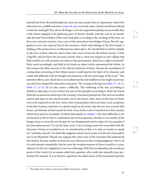<span id="page-24-2"></span><span id="page-24-1"></span><span id="page-24-0"></span>himself and Peter the small temple tax, since we may assume that at Capernaum, where this otherwise very credible narrative [\(verses 24, seq.](http://www.ccel.org/study/Bible:Matt.17.24-Matt.17.27)) occurred, many a friend would have offered to him the small gift? But, above all things, is not the supposition plainly inconceivable that a fish which snapped at the glittering piece of money should, with the coin in its mouth, take the bait? Nevertheless if the event took place according to the wording of the texts, we have not a miracle of power, but a case of the miraculous knowledge of Jesus. But the suggestion is not to be rejected that in this narrative, which only belongs to the first Gospel, a shifting of the picture from recollection has taken place. We should find it entirely suitable to the view of Jesus when he said to Peter who was in straits for the tribute money: "Catch a big fish, and you have the necessary money; that is, what you require in your calling with little trouble you will certainly not refuse to the government, which has a right to demand!" Peter acted accordingly, and held in his hands an object which represented the tribute. In this manner the affair answers to the ethical sentiment of Jesus, whereas the assumption of a miraculous procuring of the tribute money would deprive the latter of its character and could with difficulty only be brought into harmony with the moral logic of the Lord.<sup>1</sup> This narrative offers a case which forces us to admit that the oral tradition in one single occurrence can only have shaped the miraculous character. The cursing of the fig tree [\(Matt. 21. 18-21;](http://www.ccel.org/study/Bible:Matt.21.18-Matt.21.21) [Mark 11. 12-14, 20-23\)](http://www.ccel.org/study/Bible:Mark.11.12-Mark.11.14 Bible:Mark.11.20-Mark.11.23) also causes a difficulty. The withering of the tree, according to Matthew, takes place at once before the eyes of the disciples; according to Mark the friend finds the accursed tree dried up in the evening. It has been pointed out, that such an incident cannot take place in the named season, not in the Easter, time, since at this time no fruits were to be expected on the tree. Such a hint is purposeless; there are many such exceptions in the life of nature, and here it is clearly stated, at all events, that the tree was covered with leaves, and thereby invited search for fruit. Even if this event is transferred to that autumn which Jesus spent at Jerusalem, of which John speaks in [chapter 7](http://www.ccel.org/study/Bible:John.7.1-John.7.53), the main difficulty is not yet touched at all; for this is contained in the serious question, whether it was worthy of the hungry Jesus to curse the tree because he was disappointed and to make of it an example of his miraculous power? To say the least, such a way of acting cannot be reconciled with the character of Jesus as revealed to us. In consideration of this, it is only an evasion to speak of a "symbolic miracle," by which the judgment which was to come over the city of Jerusalem was to be illustrated. Should one suppose this, then none of the narrators had understood the miracle, because neither of them has any reference to this coming judgment. Above all it is and remains remarkable, that for once the wondrous power of Jesus is used for a curse, whereas it is his very singularity to use it as a blessing. With this consideration, the wondrous power of the Lord is by no means called into question, who could also naturally have performed this miracle. It is an historic argument, the observation of the transmitted portrait

<span id="page-24-6"></span><span id="page-24-5"></span><span id="page-24-4"></span>56

<span id="page-24-3"></span><sup>1</sup> The author here makes a concession wholly unnecessary.--Editor.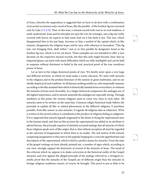<span id="page-25-1"></span><span id="page-25-0"></span>of Jesus, whereby the supposition is suggested that we have to do here with a combination of an actual occurrence and a word of Jesus, like the parable . of the fruitless fig tree narrated only by Luke [\(13. 6-9](http://www.ccel.org/study/Bible:Luke.13.6-Luke.13.9)). That, in this wise, a miracle record took root in an oral tradition, is easily understood. Jesus and his disciples are near the city; he is hungry, sees a fig tree richly covered with leaves; he expects to find some fruit on it but finds it not. This tree, which disappointed him in his just hope, becomes to him a symbol of the capital which, in like manner, disappoints the religious hope; and he says, with reference to Jerusalem: "This fig tree, not bringing fruit, shall wither," just as in that parable he designates Israel as the fruitless fig tree, which is to be cut down. These examples are not intended to offer a sure decision on the respective miracle records, but that this only might become clear: that an impartial glance can meet with many difficulties which are fully intelligible and can be held in suspense without detriment to belief in the real, practical proof of the true wondrous power of Jesus.

Let us turn to the religio-historical points of view. We hereby enter upon a very large and different territory, in which we must make a scanty selection. We meet with miracles in the religious and in the profane literature of the nations in great multitudes, and we are wholly skeptical of such tradition. In all fairness nothing entitles us, who impartially measure according to the like standard that which is historically handed down everywhere, to estimate the miracles of Jesus more favorably. In a religio-historical comparison the analogies are of the highest importance, and in miracle materials the analogies are especially strong. Through similarity in this point, the various religions seem to come very close to each other. All miracles seem to be written on the same line. Common religio-historical study follows the principle to explain all like or related phenomena in the different religions, if anywhere possible, from like causes; so also miracles. It regards all religious data as subjective. What is written in the sacred codices is considered as the product of religious feeling or judgment. If it is supposed that miracle legends originated in the desire to bring the supernatural near to the human mind, and that on this account the supernatural was added as an attribute to adored heroes, the principle requires of similarly actuated analogy that all miracles of which these religions speak were of like origin; that is, that without exception all must be regarded as the outcome of imagination to which there is no reality. The real motive of the miracle composing imagination is thus seen in the popular longing for a concrete apprehension and description of the supernatural, which is fed by a perfect mania for miracles. From the state of the gospel writings we have already pointed out .a number of signs which, according to our view, strongly support the historicity of several of the miracles of Jesus. The trend of the criticism which we oppose is to shake conviction in the historical reality of the Gospel miracles; and over against the alleged principle of the analogy referred to, a stringent scientific proof that the miracles of the Gospels are of different origin than the miracles in foreign religious traditions cannot, of course, be brought. This proof is just as little to be

<span id="page-25-3"></span><span id="page-25-2"></span>61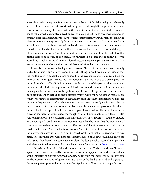<span id="page-26-1"></span>given absolutely as the proof for the correctness of the principle of the analogy which is only an hypothesis. But no one will assert that this principle, although it comprises a large field, is of universal validity. Everyone will rather admit that a limitless multitude of cases is conceivable which outwardly, indeed, appear as analogies but which owe their existence to entirely different causes; under the supposition of this possibility we will make the following observations: Just as we previously found instances for the historicity of the miracles of Jesus according to the records, we now affirm that the motive for miracle narratives must not be considered offhand as the sole and authoritative reason for the narrative without doing violence to historical truth. Two things must here be borne in mind. In the first place this motive cannot be spoken of as a mania for miracles in a degree that it blindly received everything which is recorded of miraculous things; in the second place, the majority of the extra-canonical miracles stand in a very different relation than the canonical.

<span id="page-26-0"></span>It sounds very strange that today we can. "no more" believe in miracles, whereas formerly such a belief was entirely in its proper place. One thing, indeed, seems to be evident, that the modern man in general is more opposed to the acceptance of a real miracle than the mark of the time of Jesus. But we must not forget that there is today also a playing with the miraculous which differs little from the mania for miracles of the past. And, when among us, not only the desire for appearances of dead persons and communication with them is publicly made known, but also the gratification of this want is promised, as it were, in a businesslike manner, is the like desire dictated by less mania for miracles than many things which we estimate so contemptibly in the thought of an age which in its naïvete had no idea of natural happenings conformable to law? This estimate is already made invalid by the mere existence of the notion of miracle. For when the ancient age possessed the idea of miracle it held it in opposition to the idea of regular laws of nature. The idea of miracle, be it ever so confused, always includes the thought of a conflict with natural law. Thus it is also very remarkable when one asserts that the contemporaries of Jesus were less strangely affected by the raising of a dead man than we moderns would be who know that the brazen law of nature retains in death whom it once has. The people of that time knew very well that the dead remains dead. After the burial of Lazarus, Mary, the sister of the deceased, who was intimately acquainted with Jesus, is not prepared for the idea that a resurrection is to take place. She, like those who were near her, thought, indeed, that Jesus could have cured the sick Lazarus; but the still unprecedented miracle on the dead they also regarded as impossible; and Martha wished to prevent the stone being taken from the grave [\(John 11. 32, 37, 39\)](http://www.ccel.org/study/Bible:John.11.32 Bible:John.11.37 Bible:John.11.39). In the Octavius of Minucius, Felix, the heathen, turns to the Christian and says: "I cannot agree to the return of the dead to life, for such a case only happened once, when Protesilaus, at the entreaties of his wife, returned for a few hours from the lower world." But this case he also ascribed to fictitious legend. A resuscitation of the dead is narrated of the great Pythagorean philosopher and itinerant preacher Apollonius of Tyana, which he performed at

<span id="page-26-3"></span><span id="page-26-2"></span>64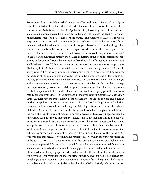Rome. A girl from a noble house died on the day of her wedding and is carried out. (By the way, the similarity of the individual traits with the Gospel narrative of the raising of the widow's son at Nain is so great that the Apollonius story looks very much like an intended analogy.) Apollonius causes them to put down the bier. "He touches the dead, speaks a few unintelligible words, and raises her from the frame." The biographer, Philostratus, who is very skeptical as to this tradition, remarks (Vita Apollonii, iv. 45): "Whether he still found in her a spark of life which the physicians did not perceive—for it is said that the god had bedewed her, and from her face ascended a vapor—or whether he called back again the extinguished life and rekindled it, I am not able to ascertain, nor could they who were present." In the Octavius mentioned already, the heathen complains of the credulity of former generations, under whose fictions the education of youth is still suffering: "Our ancestors very gladly believed in lies. Without examination they accepted as true even monstrous prodigies like the Scylla, the Chimera, etc." What do the statements here put together prove? So much, at any rate, that at the very time when Christianity stepped in beside all trifling with the miraculous, skepticism also was a powerful factor in the mental life, and endeavored to cut the very ground from under the mania for miracles. Not only educated men, like the alleged authors, behave themselves in a critical manner toward miracles, but also the plain countrymen of Jesus were by no means especially disposed toward unprecedented miraculous events.

But, in spite of all, the wonderful stories of former times eagerly prevailed and were readily believed by the mass. In the first place, probably the god of medicine Askelepios (or, Latin, "Æsculapius), the true "saviour" of the heathen who, as the son of a god and a human mother, of Apollo and Koronis, was endowed with a wonderful healing power. After he had been snatched away from the earth through the lightning of Zeus, on account of his raisings of the dead (of which ten are recorded) he still worked from divine heights, healed through the hand of priests by means of medicine, or recompensed with recovery pilgrimages to his sanctuaries. And this is only one example. There is no doubt that at that time also belief in miracles was diffused and a mania for miracles prevailed. Other instances could be quoted as supplemental; but not all must be placed to account, such as that miracles were also ascribed to Roman emperors, for it is extremely doubtful whether the miracles were at all believed by anyone, and were not, rather, an official tune of the cult of the Caesars. But whoever goes through history will find no reason to rate very high the hunger for miracles in the age of Christ. The mania for miracles is the constant companion of enlightenment; it is always a powerful factor in the mental life, only the manifestations are different now and then; and it must be doubtful whether among people who were educated after the pattern of the wisdom of the synagogue, or who had at least felt the breath of the wind from the wing-stroke of that great wisdom, that the disposition to believe in miracles had been exceptionally great. It is known that as never before the dogma of the Almighty God of creation was indeed emphasized in later Judaism, but that this belief exclusively referred to the cre<span id="page-27-2"></span><span id="page-27-1"></span><span id="page-27-0"></span>66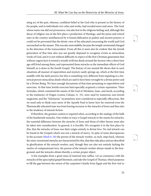ating act of the past, whereas, confident belief in the God who is present in the history of his people, and in individuals ever rules and works, had receded more and more. The God, whose name one did not pronounce, was also lost to the religious feeling; and, although this decay of religion was in the first place a production of theology, and the pious and retired ones in the country uninfluenced by it found edification in psalms and ancient prayers, it could not be prevented that the deistic view of the educated concerning the world and God encroached on the masses. This was also unavoidable, because the temple ceremonial changed in the direction of the transcendent. From all this it must also be evident that the Jewish generation of that time also was not greatly disposed to recognize events as miraculous works of God, and it is not without difficulty to expect of the first Christian generation that without cogent facts it twined a wreath of divine deeds around the Saviour who a short time ago still lived among them, and represented these miracles as the immediate effects of God himself, as is done in the fourth Gospel. The history of our mental life shows that in such situations all manner of superstition and mystery easily springs up, which at the first time meddle with the dark powers; but this is something very different from imputing to a historical person miraculous deeds which are said to have been wrought by a divine power and by a Divine Being. We have enough documents of that time pertaining to superstition and exorcism. At that time Jewish exorcists had especially acquired a certain reputation. Their formulas, which contained the names of the God of Abraham, Isaac, and Jacob, according to the testimony of Origen (contra Celsum, iv. 33), were used by numerous non-Jewish magicians; and the "Solomonic" incantations were considered as especially efficacious. But we need only to think once more of the Apostle Paul to know how far removed even the Pharisaically educated man was from having recourse to the miracles of Jesus and thus also to the tendency of miracle fiction.

<span id="page-28-0"></span>If therefore, the greatest caution is required when, according to the analogy of the bulk of the heathenish miracles, One wishes to trace a Gospel miracle to the mania for miracles, the essential difference between the miracles of Jesus and those of other heroes must also be taken into consideration. In general, it is forcible. We recognize it in the first place by this, that the miracles of Jesus owe their origin entirely to divine love. No real miracle can be found in the Gospels which was not a miracle of mercy. In spite of some discrepancies in the account [\(Mark 6. 56\)](http://www.ccel.org/study/Bible:Mark.6.56) the person of the miracle-worker, as such, steps back, whereas the extra-ceremonial miracles are characterized by this, that they take place and are described in glorification of the miracle-worker; and, though they are also not entirely lacking the motive of compassionate love, the person of the miracle-worker always stands in the foreground, and the miracles obtain thereby a certain proper object.

A few examples from a great mass of material may suffice. Let us commence with the miracles of the apocryphal gospel literature, and take the Gospel of Thomas, which purposes to fill the gap between the return of the carpenter's family from Egypt and the first visit to <span id="page-28-1"></span>68

<span id="page-28-3"></span><span id="page-28-2"></span>69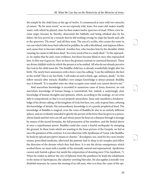the temple by the child Jesus at the age of twelve. It commenced at once with two miracles of nature. "By his mere word," as we are expressly told, Jesus, five years old, makes muddy water, with which he played, clear; he then makes twelve sparrows of mud. When a Jew became angry because he thereby, desecrated the Sabbath, and being rebuked also by his father, the boy proves by a miracle that he did nothing wrong; he claps his hands and calls to the sparrows: "Fly away!" and off they went. The son of a scribe, who causes the water to run out which little Jesus had collected in puddles, he calls a blockhead, and impious fellow, and causes him to become withered. Another boy, who touches him by the shoulder whilst running, he causes to fall down dead, "for every word of his is a ready deed." To the reproacher, he replies that he only cures evildoers, but those become blind at once who reproached him. In this way it goes on. Here we have the grossest contrast to canonical literature. These are divine childish tricks by which the person is to be exalted. All who do not already perceive the God in the child must die. The Buddha child too, is already wonderfully bright after his birth. The newly born announces with a lion's voice his calling: "I am the sublimest, the best in the world! This is my last birth. I will make an end to birth, age, sickness, death." At this follow miracle after miracle. Buddha's very unique knowledge is always praised. Buddha says it himself: "It is manifest unto me what occupies your mind; you cannot deceive me."

Real marvelous knowledge is recorded in numerous cases of Jesus; however, no real marvelous knowledge of human beings is transmitted, but, indeed, a surprisingly clear knowledge of human thoughts and opinions, which, according to the analogy, we are even able to comprehend, so that it is not properly miraculous. Jesus only manifests a foreknowledge of his divine calling, of the kingdom of God; but here, too, only in great lines, refusing the knowledge of details. His extraordinary knowledge is of a purely prophetical kind. The knowledge of Buddha is magical, even the cures of Buddha lie also in an entirely different sphere, and are evidently intended to glorify the person of the hero; thus he gives to a prince, whose hands and feet were cut off, and whose prayer he hears in a distance through a message by means of the sacred formulas, the full possession of his members, and the healed shows at once a superhuman power. Buddha could also cause a fearful earthquake by stamping the ground. In these traits which are wanting in the Jesus picture of the Gospels, we feel at once the greatness of the contrast. It is not otherwise with Apollonius of Tyana. Like Buddha, he heals by special perceptive means or charms. "Æsculapius, too, used for his cures sundry means; prescribed medicine; afterward the patients had to sleep in his temples and follow the direction of the dreams which they had there. It is not the divine omnipotence which worked there; we meet with a jumble of the sensually natural and supernatural. Apollonius cannot only banish a ghost, but needs the coöperation of shouting men (Vita Apollonii, 7). When he wishes to deliver the city of Ephesus from the pestilence he leads the inhabitants to the statue of Apotrapacus, the calamity-averting Hercules. He also applies a morally very doubtful measure; he causes the stoning of an old man, who is to bear the cause of the epi<span id="page-29-0"></span>71

<span id="page-29-2"></span><span id="page-29-1"></span>72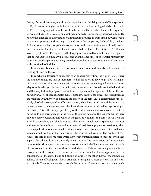demic; afterward, however, not a human corpse but a big dead dog is found (Vita Apollonii, iv, 11). A man suffering hydrophobia, he causes to be cured by the dog which bit him (Ibid., vi. 43). He is very superstitious; he touches the incense flames, when their flickering seems favorable (Ibid., i, 31). Besides, an absolutely wonderful knowledge is ascribed to him. He knows the language of every nation without having studied it; from small outward events he twice prophesies the short reign of the three soldier-emperors, Galba, Otho, Vitellius. At Ephesus he suddenly stops in the conversation and sees, experiencing it himself, how at the very minute Domitian is murdered in Rome (Ibid., i, 19; v, 11-13; viii, 26). Of Apollonius, as of his great master, Pythagoras (in the biography composed by Jamblichus), it is reported that he was able to be in many places at one and the same time, or to transfer himself with celerity to another place. Such magic freedom from limits of space and material existence, is also ascribed to Buddha.

In our Gospels such traits are not found, unless one understands in this sense the walking of Jesus on the sea.

In conclusion, let us turn once again to an apocryphal writing, the Acts of Peter, where the strangest things are told of their hero; he has the power to revive a pickled herring; at his command a suckling announces with a loud voice the impending judgment on Simon Magus, and challenges him to a contest in performing miracles. Even the contest is described, and this very fact in its pregnant form, allows us to perceive the signature of the heathenish miracle view. The alleged examples make it clear how in extra-canonical sources all miracles are recorded with the view of extolling the person of the hero. Like a contention for the divinely glorified person, it often affects us, indeed, when he is raised beyond the level of the human, whereas, on the other hand, the life of the respective individual betrays nothing of the divine. This is the unique peculiarity of the extra-canonical miracle records: that the miracles do not harmonize with the type of the acting persons. The superhuman is there only too deeply buried in that which is altogether too human, and comes forth from the latter like something that should not be. When the extremely acute Apollonius, who was endowed with superhuman knowledge, is involved in different popular superstitions, when he even applies immoral means in his miraculous help, we become confused. It is bad inconsistency which we find in the view forming the basis of such records. The heathenish "saviours" are said to perform cures which defy every human medical science; but when they apply to these divine deeds the genuinely human means of medicine, magic, and incantations, ceremonial washings, etc., this, too, is an inconsistency which allows us to see how the whole picture comes from the view of those who designed it. This inconsistency of view is not perceptible in the Gospels. Here, as we have seen, the miracles of Jesus appear as the true consequence of the entire being and calling of Jesus. To the other "heroes" the miraculous adheres like an official gown, like an ornament or insignia. Christ's personal life and work is a miracle. They were magnified through the miracles; Christ is so great that the miracle

<span id="page-30-0"></span>74

<span id="page-30-2"></span><span id="page-30-1"></span>75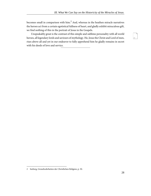becomes small in comparison with him. $<sup>2</sup>$  And, whereas in the heathen miracle narratives</sup> the heroes act from a certain egotistical fullness of heart, and gladly exhibit miraculous gift, we find nothing of this in the portrait of Jesus in the Gospels.

<span id="page-31-0"></span>Unspeakably great is the contrast of this simple and sublime personality with all world heroes, all legendary lords and saviours of mythology. He, Jesus the Christ and Lord of men, rises above all and yet in our endeavor to fully apprehend him he gladly remains in secret with his deeds of love and service.

<sup>2</sup> Seeberg, Grundwahrheiten der Christlichen Religion, p. 50.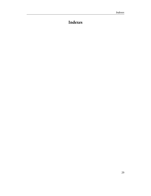# <span id="page-32-0"></span>**Indexes**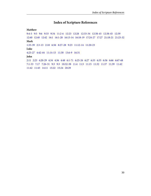# **Index of Scripture References**

#### <span id="page-33-0"></span>**Matthew**

[9:4-5](#page-22-0) [9:5](#page-22-1)   [9:6](#page-22-1) [9:33](#page-8-1) [9:34](#page-8-1) [11:2-6](#page-12-0) [12:23](#page-8-1) [12:28](#page-13-0) [12:33-34](#page-12-1)   [12:38-45](#page-9-0)   [12:38-45](#page-18-0) [12:39](#page-9-1) [12:40](#page-10-0)  [12:40](#page-10-1)   [12:42](#page-11-0)   [16:1](#page-9-2)  [16:1-28](#page-18-1)  [16:13-14](#page-19-0)  [16:18-19](#page-22-2)  [17:24-27](#page-24-0)  [17:27](#page-23-0)  [21:18-21](#page-24-1)  [21:23-32](#page-10-2) **Mark** [1:33-39](#page-12-2)   [2:3-13](#page-13-1)   [2:10](#page-13-2)   [6:56](#page-28-0)   [8:27-28](#page-19-0)   [9:23](#page-15-0)   [11:12-14](#page-24-2) [11:20-23](#page-24-2) **Luke** [4:23-27](#page-12-3)   [4:42-44](#page-12-4) [11:14-15](#page-12-5)   [11:30](#page-10-3)   [13:6-9](#page-25-0)   [16:31](#page-11-1) **John** [2:11](#page-8-2)   [2:23](#page-8-3)   [4:20-29](#page-16-0)   [4:34](#page-16-1)  [4:36](#page-16-2)  [4:48](#page-17-0)   [6:1-71](#page-18-1)   [6:25-26](#page-17-1)  [6:27](#page-18-2)  [6:33](#page-18-3)   [6:35](#page-18-4)   [6:36](#page-18-5)   [6:66](#page-8-4)  [6:67-68](#page-19-1) [7:1-53](#page-24-3)   [7:17](#page-18-6) [7:26-31](#page-8-3)   [9:3](#page-15-1) [9:3](#page-18-7)   [10:32-38](#page-16-3) [11:4](#page-15-2) [11:5](#page-15-2) [11:15](#page-15-3) [11:32](#page-26-0) [11:37](#page-26-0) [11:39](#page-26-0)   [11:42](#page-15-4)  [11:42](#page-16-4)   [11:45](#page-8-5)   [14:11](#page-16-3)   [15:22](#page-17-2)   [15:24](#page-16-5) [20:29](#page-17-0)